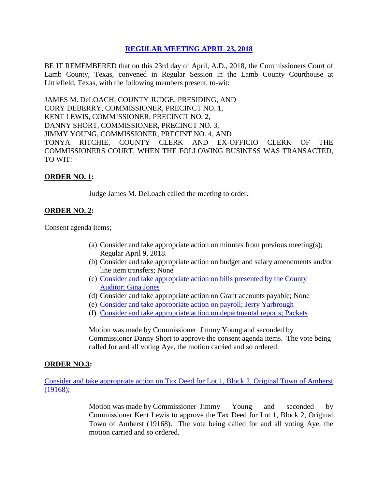# **REGULAR [MEETING APRIL 23, 2018](Links%202018-04-23-Regular/01%20AGENDA%20REGULAR%20MEETING%20APRIL%2023,%202018.pdf)**

BE IT REMEMBERED that on this 23rd day of April, A.D., 2018, the Commissioners Court of Lamb County, Texas, convened in Regular Session in the Lamb County Courthouse at Littlefield, Texas, with the following members present, to-wit:

JAMES M. DeLOACH, COUNTY JUDGE, PRESIDING, AND CORY DEBERRY, COMMISSIONER, PRECINCT NO. 1, KENT LEWIS, COMMISSIONER, PRECINCT NO. 2, DANNY SHORT, COMMISSIONER, PRECINCT NO. 3, JIMMY YOUNG, COMMISSIONER, PRECINT NO. 4, AND TONYA RITCHIE, COUNTY CLERK AND EX-OFFICIO CLERK OF THE COMMISSIONERS COURT, WHEN THE FOLLOWING BUSINESS WAS TRANSACTED, TO WIT:

### **ORDER NO. 1:**

Judge James M. DeLoach called the meeting to order.

# **ORDER NO. 2:**

Consent agenda items;

- (a) Consider and take appropriate action on minutes from previous meeting(s); Regular April 9, 2018.
- (b) Consider and take appropriate action on budget and salary amendments and/or line item transfers; None
- (c) [Consider and take appropriate action on bills presented by the County](Links%202018-04-23-Regular/03%20ACCOUNTS%20PAYABLE%20REGULAR%20MEETING%20APRIL%2023,%202018.pdf)  Auditor; [Gina Jones](Links%202018-04-23-Regular/03%20ACCOUNTS%20PAYABLE%20REGULAR%20MEETING%20APRIL%2023,%202018.pdf)
- (d) Consider and take appropriate action on Grant accounts payable; None
- (e) [Consider and take appropriate action on payroll;](Links%202018-04-23-Regular/04%20PAYROLL%20PAYABLES%20REGULAR%20MEETING%20APRIL%2023,%202018.pdf) Jerry Yarbrough
- (f) Consider and take appropriate [action on departmental reports;](Links%202018-04-23-Regular/05%20DEPARTMENTAL%20REPORTS%20REGULAR%20MEETING%20APRIL%2023,%202018.pdf) Packets

Motion was made by Commissioner Jimmy Young and seconded by Commissioner Danny Short to approve the consent agenda items. The vote being called for and all voting Aye, the motion carried and so ordered.

# **ORDER NO.3:**

[Consider and take appropriate action on Tax Deed for Lot 1, Block 2, Original Town of Amherst](Links%202018-04-23-Regular/06%20TAX%20DEED%20LOT%201%20BLOCK%202%20AMHERST%20REGULAR%20MEETING%20APRIL%2023,%202018.pdf)  [\(19168\);](Links%202018-04-23-Regular/06%20TAX%20DEED%20LOT%201%20BLOCK%202%20AMHERST%20REGULAR%20MEETING%20APRIL%2023,%202018.pdf)

> Motion was made by Commissioner Jimmy Young and seconded by Commissioner Kent Lewis to approve the Tax Deed for Lot 1, Block 2, Original Town of Amherst (19168). The vote being called for and all voting Aye, the motion carried and so ordered.